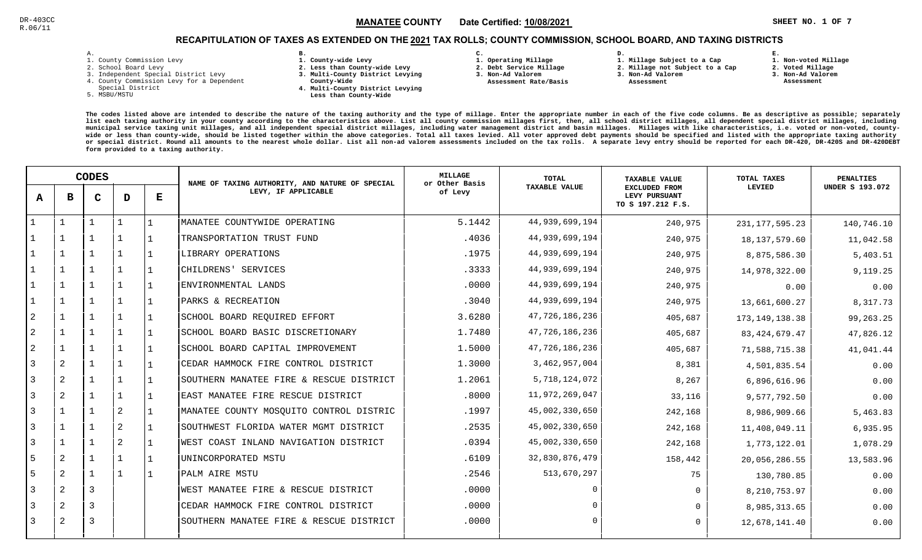### $\mathbb{S}^2$  and  $\mathbb{S}^2$  and  $\mathbb{S}^2$  and  $\mathbb{S}^2$  and  $\mathbb{S}^2$  and  $\mathbb{S}^2$  and  $\mathbb{S}^2$  and  $\mathbb{S}^2$  and  $\mathbb{S}^2$  and  $\mathbb{S}^2$  and  $\mathbb{S}^2$  and  $\mathbb{S}^2$  and  $\mathbb{S}^2$  and  $\mathbb{S}^2$  and  $\mathbb{S}^2$  MANATEE CO

**1. Non-voted Millage**

# RECAPITULATION OF TAXES AS EXTENDED ON THE <u>2021</u> TAX ROLLS; COUNTY COMMISSION, SCHOOL BOARD, AND TAXING DISTRICTS

| i. |  |  |
|----|--|--|

- 1. County Commission Levy
- 2. School Board Levy
- 3. Independent Special District Levy
- 4. County Commission Levy for a Dependent
- Special District
- 5. MSBU/MSTU
- **B. 1. County-wide Levy**
- **2. Less than County-wide Levy**
- **3. Multi-County District Levying**
- **County-Wide** 
	- **4. Multi-County District Levying Less than County-Wide**

**C.** 

**3. Non-Ad Valorem Assessment Rate/Basis**

- **1. Operating Millage 2. Debt Service Millage**
- **1. Millage Subject to a Cap**

**D.** 

- **2. Millage not Subject to a Cap3. Non-Ad Valorem**
	- **Assessment**
- 
- **2. Voted Millage 3. Non-Ad Valorem Assessment**

**E.**

|                | <b>CODES</b> |   |                |   | NAME OF TAXING AUTHORITY, AND NATURE OF SPECIAL | MILLAGE<br>or Other Basis | <b>TOTAL</b>         | <b>TAXABLE VALUE</b>                                       | TOTAL TAXES       | <b>PENALTIES</b>       |
|----------------|--------------|---|----------------|---|-------------------------------------------------|---------------------------|----------------------|------------------------------------------------------------|-------------------|------------------------|
| A              | в            | C | D              | Е | LEVY, IF APPLICABLE                             | of Levy                   | <b>TAXABLE VALUE</b> | <b>EXCLUDED FROM</b><br>LEVY PURSUANT<br>TO S 197.212 F.S. | LEVIED            | <b>UNDER S 193.072</b> |
|                |              |   |                |   | MANATEE COUNTYWIDE OPERATING                    | 5.1442                    | 44, 939, 699, 194    | 240,975                                                    | 231, 177, 595. 23 | 140,746.10             |
|                |              |   | -1             |   | TRANSPORTATION TRUST FUND                       | .4036                     | 44,939,699,194       | 240,975                                                    | 18, 137, 579.60   | 11,042.58              |
|                |              |   | $\mathbf{1}$   |   | LIBRARY OPERATIONS                              | .1975                     | 44,939,699,194       | 240,975                                                    | 8,875,586.30      | 5,403.51               |
|                |              |   | $\mathbf{1}$   |   | CHILDRENS' SERVICES                             | .3333                     | 44,939,699,194       | 240,975                                                    | 14,978,322.00     | 9,119.25               |
|                | $\mathbf{1}$ |   |                |   | ENVIRONMENTAL LANDS                             | .0000                     | 44,939,699,194       | 240,975                                                    | 0.00              | 0.00                   |
|                | $\mathbf 1$  |   | 1              |   | PARKS & RECREATION                              | .3040                     | 44,939,699,194       | 240,975                                                    | 13,661,600.27     | 8,317.73               |
| $\overline{2}$ |              |   |                |   | SCHOOL BOARD REQUIRED EFFORT                    | 3.6280                    | 47,726,186,236       | 405,687                                                    | 173, 149, 138.38  | 99,263.25              |
| $\overline{2}$ |              |   |                |   | SCHOOL BOARD BASIC DISCRETIONARY                | 1.7480                    | 47,726,186,236       | 405,687                                                    | 83, 424, 679. 47  | 47,826.12              |
| $\overline{a}$ |              |   |                |   | SCHOOL BOARD CAPITAL IMPROVEMENT                | 1.5000                    | 47,726,186,236       | 405,687                                                    | 71,588,715.38     | 41,041.44              |
| 3              | 2            |   | 1              |   | CEDAR HAMMOCK FIRE CONTROL DISTRICT             | 1.3000                    | 3,462,957,004        | 8,381                                                      | 4,501,835.54      | 0.00                   |
| 3              | 2            |   | 1              |   | SOUTHERN MANATEE FIRE & RESCUE DISTRICT         | 1.2061                    | 5,718,124,072        | 8,267                                                      | 6,896,616.96      | 0.00                   |
| 3              | 2            |   |                |   | EAST MANATEE FIRE RESCUE DISTRICT               | .8000                     | 11,972,269,047       | 33,116                                                     | 9,577,792.50      | 0.00                   |
| 3              | $\mathbf{1}$ |   | 2              |   | MANATEE COUNTY MOSQUITO CONTROL DISTRIC         | .1997                     | 45,002,330,650       | 242,168                                                    | 8,986,909.66      | 5,463.83               |
| 3              |              |   | 2              |   | SOUTHWEST FLORIDA WATER MGMT DISTRICT           | .2535                     | 45,002,330,650       | 242,168                                                    | 11,408,049.11     | 6,935.95               |
| 3              |              |   | $\overline{2}$ |   | WEST COAST INLAND NAVIGATION DISTRICT           | .0394                     | 45,002,330,650       | 242,168                                                    | 1,773,122.01      | 1,078.29               |
| 5              | 2            |   | $\mathbf{1}$   |   | UNINCORPORATED MSTU                             | .6109                     | 32,830,876,479       | 158,442                                                    | 20,056,286.55     | 13,583.96              |
| 5              | 2            |   | -1             |   | PALM AIRE MSTU                                  | .2546                     | 513,670,297          | 75                                                         | 130,780.85        | 0.00                   |
| 3              | 2            | 3 |                |   | WEST MANATEE FIRE & RESCUE DISTRICT             | .0000                     |                      | $\mathbf 0$                                                | 8, 210, 753.97    | 0.00                   |
| 3              | 2            | 3 |                |   | CEDAR HAMMOCK FIRE CONTROL DISTRICT             | .0000                     |                      | $\Omega$                                                   | 8,985,313.65      | 0.00                   |
| 3              | 2            | 3 |                |   | SOUTHERN MANATEE FIRE & RESCUE DISTRICT         | .0000                     |                      | $\mathbf 0$                                                | 12,678,141.40     | 0.00                   |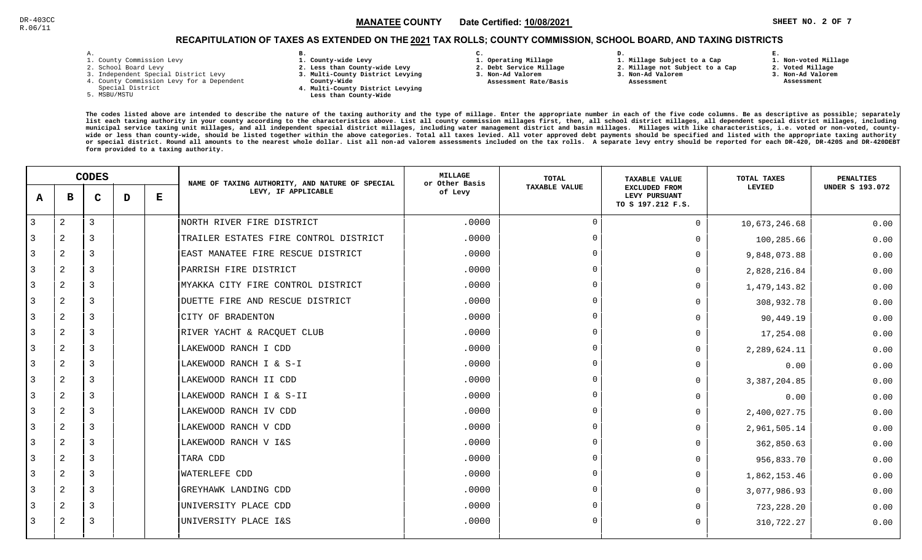### $\mathbb{R}^3$  and  $\mathbb{R}^3$  and  $\mathbb{R}^3$  and  $\mathbb{R}^3$  and  $\mathbb{R}^3$  and  $\mathbb{R}^3$  and  $\mathbb{R}^3$  and  $\mathbb{R}^3$  and  $\mathbb{R}^3$  and  $\mathbb{R}^3$  and  $\mathbb{R}^3$  and  $\mathbb{R}^3$  and  $\mathbb{R}^3$  and  $\mathbb{R}^3$  and  $\mathbb{R}^3$  MANATEE CO

# RECAPITULATION OF TAXES AS EXTENDED ON THE <u>2021</u> TAX ROLLS; COUNTY COMMISSION, SCHOOL BOARD, AND TAXING DISTRICTS

| ۰ |  |  |
|---|--|--|

- 1. County Commission Levy
- 2. School Board Levy
- 3. Independent Special District Levy
- 4. County Commission Levy for a Dependent
- Special District
- 5. MSBU/MSTU
- **B. 1. County-wide Levy**
- **2. Less than County-wide Levy**
- **3. Multi-County District Levying**
- **County-Wide** 
	- **4. Multi-County District Levying Less than County-Wide**
- **C.**
- **1. Operating Millage**
- **2. Debt Service Millage**
- **3. Non-Ad Valorem Assessment Rate/Basis**
- **1. Millage Subject to a Cap2. Millage not Subject to a Cap**

**D.** 

- **3. Non-Ad Valorem**
	- **Assessment**

 **1. Non-voted Millage2. Voted Millage**

**E.**

- **3. Non-Ad Valorem**
- **Assessment**

|                | <b>CODES</b>   |   |   | NAME OF TAXING AUTHORITY, AND NATURE OF SPECIAL | <b>MILLAGE</b><br>or Other Basis      | <b>TOTAL</b> | <b>TAXABLE VALUE</b> | TOTAL TAXES                                                | <b>PENALTIES</b> |                        |
|----------------|----------------|---|---|-------------------------------------------------|---------------------------------------|--------------|----------------------|------------------------------------------------------------|------------------|------------------------|
| A              | в              | C | D | Е                                               | LEVY, IF APPLICABLE                   | of Levy      | <b>TAXABLE VALUE</b> | <b>EXCLUDED FROM</b><br>LEVY PURSUANT<br>TO S 197.212 F.S. | LEVIED           | <b>UNDER S 193.072</b> |
| $\overline{3}$ | $\overline{2}$ | 3 |   |                                                 | NORTH RIVER FIRE DISTRICT             | .0000        | $\Omega$             | $\mathbf 0$                                                | 10,673,246.68    | 0.00                   |
| 3              | $\overline{2}$ | 3 |   |                                                 | TRAILER ESTATES FIRE CONTROL DISTRICT | .0000        | $\Omega$             | 0                                                          | 100,285.66       | 0.00                   |
| 3              | 2              |   |   |                                                 | EAST MANATEE FIRE RESCUE DISTRICT     | .0000        |                      | $\Omega$                                                   | 9,848,073.88     | 0.00                   |
| 3              | 2              |   |   |                                                 | PARRISH FIRE DISTRICT                 | .0000        | $\Omega$             | $\Omega$                                                   | 2,828,216.84     | 0.00                   |
| 3              | $\overline{2}$ | 3 |   |                                                 | MYAKKA CITY FIRE CONTROL DISTRICT     | .0000        | $\Omega$             | $\Omega$                                                   | 1,479,143.82     | 0.00                   |
| 3              | 2              | 3 |   |                                                 | DUETTE FIRE AND RESCUE DISTRICT       | .0000        | $\Omega$             | $\Omega$                                                   | 308,932.78       | 0.00                   |
| 3              | $\overline{2}$ | 3 |   |                                                 | CITY OF BRADENTON                     | .0000        | $\Omega$             | $\Omega$                                                   | 90,449.19        | 0.00                   |
| 3              | 2              | 3 |   |                                                 | RIVER YACHT & RACQUET CLUB            | .0000        | $\cap$               | $\Omega$                                                   | 17,254.08        | 0.00                   |
| 3              | $\overline{2}$ |   |   |                                                 | LAKEWOOD RANCH I CDD                  | .0000        |                      | $\Omega$                                                   | 2,289,624.11     | 0.00                   |
| 3              | $\overline{2}$ |   |   |                                                 | LAKEWOOD RANCH I & S-I                | .0000        | $\Omega$             | $\Omega$                                                   | 0.00             | 0.00                   |
| 3              | 2              |   |   |                                                 | LAKEWOOD RANCH II CDD                 | .0000        | $\cap$               | $\Omega$                                                   | 3, 387, 204.85   | 0.00                   |
| 3              | $\overline{2}$ | 3 |   |                                                 | LAKEWOOD RANCH I & S-II               | .0000        | $\Omega$             | $\Omega$                                                   | 0.00             | 0.00                   |
| 3              | $\overline{2}$ | 3 |   |                                                 | LAKEWOOD RANCH IV CDD                 | .0000        | $\Omega$             | $\Omega$                                                   | 2,400,027.75     | 0.00                   |
| 3              | 2              |   |   |                                                 | LAKEWOOD RANCH V CDD                  | .0000        | $\Omega$             | $\Omega$                                                   | 2,961,505.14     | 0.00                   |
| 3              | $\overline{2}$ | 3 |   |                                                 | LAKEWOOD RANCH V I&S                  | .0000        |                      | $\Omega$                                                   | 362,850.63       | 0.00                   |
| 3              | 2              |   |   |                                                 | TARA CDD                              | .0000        |                      | $\Omega$                                                   | 956,833.70       | 0.00                   |
| 3              | 2              | 3 |   |                                                 | <b>WATERLEFE CDD</b>                  | .0000        |                      | $\mathbf 0$                                                | 1,862,153.46     | 0.00                   |
| 3              | $\overline{2}$ | 3 |   |                                                 | GREYHAWK LANDING CDD                  | .0000        | $\cap$               | $\Omega$                                                   | 3,077,986.93     | 0.00                   |
| 3              | $\overline{2}$ | 3 |   |                                                 | UNIVERSITY PLACE CDD                  | .0000        |                      | $\Omega$                                                   | 723, 228.20      | 0.00                   |
| 3              | 2              | 3 |   |                                                 | UNIVERSITY PLACE I&S                  | .0000        | $\Omega$             | 0                                                          | 310,722.27       | 0.00                   |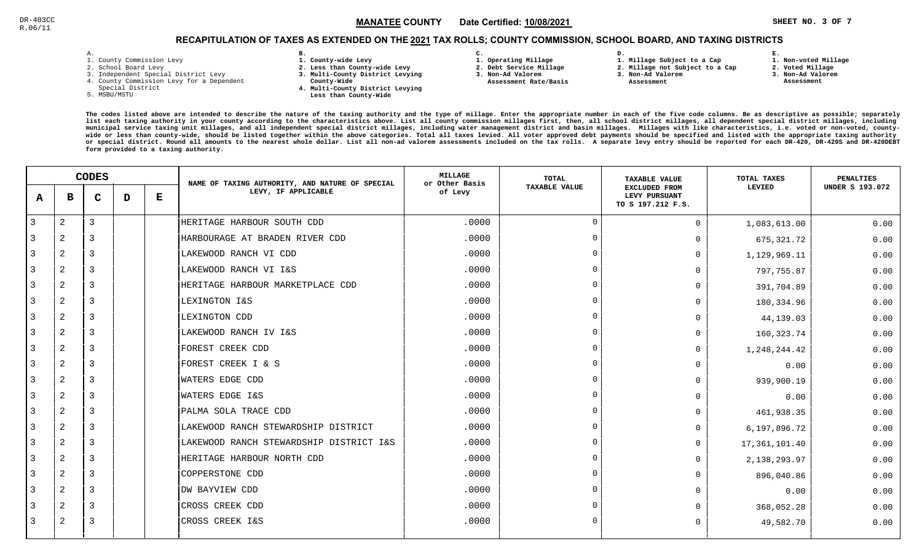### **SHEET NO. 3 OF 7** !"#\$#MANATEE CO

# RECAPITULATION OF TAXES AS EXTENDED ON THE <u>2021</u> TAX ROLLS; COUNTY COMMISSION, SCHOOL BOARD, AND TAXING DISTRICTS

| ۰ |  |  |
|---|--|--|

- 1. County Commission Levy
- 2. School Board Levy
- 3. Independent Special District Levy
- 4. County Commission Levy for a Dependent
- Special District
- 5. MSBU/MSTU
- **B. 1. County-wide Levy**
- **2. Less than County-wide Levy**
- **3. Multi-County District Levying**
- **County-Wide** 
	- **4. Multi-County District Levying Less than County-Wide**
- **C. 3. Non-Ad Valorem**

 **Assessment Rate/Basis**

- **1. Operating Millage**
- **2. Debt Service Millage 1. Millage Subject to a Cap**

**D.** 

- **2. Millage not Subject to a Cap3. Non-Ad Valorem**
	- **Assessment**
- - **3. Non-Ad Valorem**

**E.**

 **Assessment**

 **1. Non-voted Millage2. Voted Millage**

|                | <b>CODES</b>   |   |   |   | NAME OF TAXING AUTHORITY, AND NATURE OF SPECIAL | <b>MILLAGE</b><br>or Other Basis | <b>TOTAL</b>   | <b>TAXABLE VALUE</b>                                       | TOTAL TAXES     | PENALTIES              |
|----------------|----------------|---|---|---|-------------------------------------------------|----------------------------------|----------------|------------------------------------------------------------|-----------------|------------------------|
| A              | в              | C | D | Е | LEVY, IF APPLICABLE                             | of Levy                          | TAXABLE VALUE  | <b>EXCLUDED FROM</b><br>LEVY PURSUANT<br>TO S 197.212 F.S. | LEVIED          | <b>UNDER S 193.072</b> |
| $\overline{3}$ | 2              | 3 |   |   | HERITAGE HARBOUR SOUTH CDD                      | .0000                            | $\Omega$       | $\Omega$                                                   | 1,083,613.00    | 0.00                   |
| 3              | 2              | 3 |   |   | HARBOURAGE AT BRADEN RIVER CDD                  | .0000                            | $\overline{0}$ | $\Omega$                                                   | 675, 321.72     | 0.00                   |
| 3              | 2              | 3 |   |   | LAKEWOOD RANCH VI CDD                           | .0000                            | $\Omega$       | $\Omega$                                                   | 1,129,969.11    | 0.00                   |
| 3              | $\overline{2}$ | 3 |   |   | LAKEWOOD RANCH VI I&S                           | .0000                            | $\Omega$       | $\Omega$                                                   | 797,755.87      | 0.00                   |
| 3              | $\overline{a}$ | 3 |   |   | HERITAGE HARBOUR MARKETPLACE CDD                | .0000                            | $\Omega$       | $\Omega$                                                   | 391,704.89      | 0.00                   |
| 3              | 2              | 3 |   |   | LEXINGTON I&S                                   | .0000                            | $\Omega$       | <sup>0</sup>                                               | 180,334.96      | 0.00                   |
| 3              | 2              | 3 |   |   | LEXINGTON CDD                                   | .0000                            | $\Omega$       | $\Omega$                                                   | 44,139.03       | 0.00                   |
| 3              | 2              | 3 |   |   | LAKEWOOD RANCH IV I&S                           | .0000                            | $\Omega$       | $\Omega$                                                   | 160, 323.74     | 0.00                   |
| 3              | 2              | 3 |   |   | <b>FOREST CREEK CDD</b>                         | .0000                            | $\Omega$       | $\Omega$                                                   | 1,248,244.42    | 0.00                   |
| 3              | 2              | 3 |   |   | FOREST CREEK I & S                              | .0000                            | $\Omega$       | $\Omega$                                                   | 0.00            | 0.00                   |
| 3              | $\overline{a}$ | 3 |   |   | <b>WATERS EDGE CDD</b>                          | .0000                            | $\Omega$       | $\Omega$                                                   | 939,900.19      | 0.00                   |
| 3              | $\overline{2}$ | 3 |   |   | <b>WATERS EDGE I&amp;S</b>                      | .0000                            | $\Omega$       | <sup>0</sup>                                               | 0.00            | 0.00                   |
| 3              | 2              | 3 |   |   | PALMA SOLA TRACE CDD                            | .0000                            | $\Omega$       | $\Omega$                                                   | 461,938.35      | 0.00                   |
| 3              | $\overline{a}$ | 3 |   |   | LAKEWOOD RANCH STEWARDSHIP DISTRICT             | .0000                            | $\Omega$       | $\Omega$                                                   | 6,197,896.72    | 0.00                   |
| 3              | $\overline{2}$ | 3 |   |   | LAKEWOOD RANCH STEWARDSHIP DISTRICT I&S         | .0000                            | $\Omega$       | $\Omega$                                                   | 17, 361, 101.40 | 0.00                   |
| 3              | 2              | 3 |   |   | HERITAGE HARBOUR NORTH CDD                      | .0000                            | $\Omega$       | $\Omega$                                                   | 2, 138, 293.97  | 0.00                   |
| $\overline{3}$ | $\overline{2}$ | 3 |   |   | COPPERSTONE CDD                                 | .0000                            | $\Omega$       | $\Omega$                                                   | 896,040.86      | 0.00                   |
| 3              | 2              | 3 |   |   | DW BAYVIEW CDD                                  | .0000                            | $\Omega$       | $\Omega$                                                   | 0.00            | 0.00                   |
| 3              | $\overline{2}$ | 3 |   |   | CROSS CREEK CDD                                 | .0000                            | $\Omega$       |                                                            | 368,052.28      | 0.00                   |
| 3              | 2              | 3 |   |   | CROSS CREEK I&S                                 | .0000                            | $\Omega$       | $\Omega$                                                   | 49,582.70       | 0.00                   |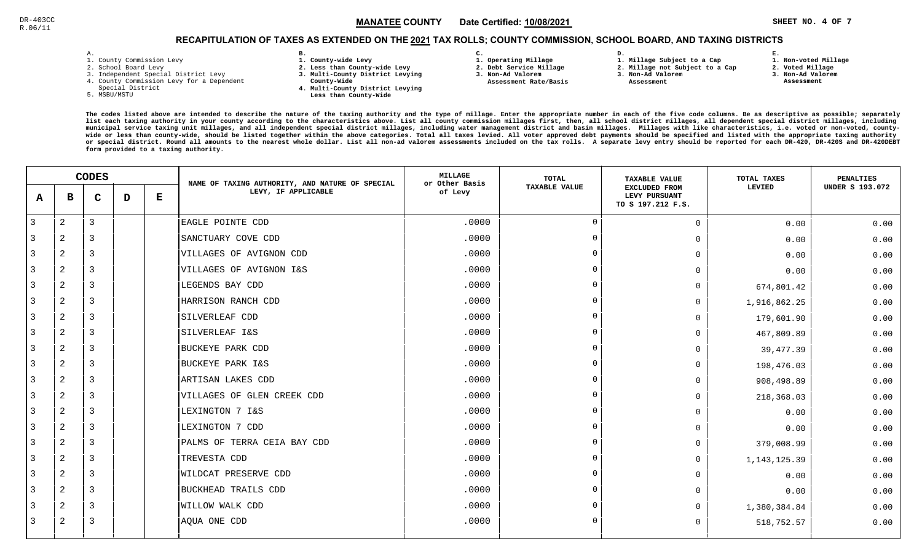### $\mathbb{R}^3$  and  $\mathbb{R}^3$  and  $\mathbb{R}^3$  and  $\mathbb{R}^3$  and  $\mathbb{R}^3$  and  $\mathbb{R}^3$  and  $\mathbb{R}^3$  and  $\mathbb{R}^3$  and  $\mathbb{R}^3$  and  $\mathbb{R}^3$  and  $\mathbb{R}^3$  and  $\mathbb{R}^3$  and  $\mathbb{R}^3$  and  $\mathbb{R}^3$  and  $\mathbb{R}^3$  MANATEE CO

# RECAPITULATION OF TAXES AS EXTENDED ON THE <u>2021</u> TAX ROLLS; COUNTY COMMISSION, SCHOOL BOARD, AND TAXING DISTRICTS

| – | ٠ |  |  |
|---|---|--|--|

- 1. County Commission Levy
- 2. School Board Levy
- 3. Independent Special District Levy
- 4. County Commission Levy for a Dependent
- Special District
- 5. MSBU/MSTU
- **B. 1. County-wide Levy**
- **2. Less than County-wide Levy**
- **3. Multi-County District Levying**
- **County-Wide** 
	- **4. Multi-County District Levying Less than County-Wide**
- **C. 1. Operating Millage 3. Non-Ad Valorem**

**2. Debt Service Millage** 

 **Assessment Rate/Basis**

- 
- **1. Millage Subject to a Cap**

**D.** 

- **2. Millage not Subject to a Cap**
- **3. Non-Ad Valorem**
	- **Assessment**

**1. Non-voted Millage**

**E.**

- **2. Voted Millage**
- **3. Non-Ad Valorem**
- **Assessment**

|                |                | <b>CODES</b>   |   |   | NAME OF TAXING AUTHORITY, AND NATURE OF SPECIAL | MILLAGE<br>or Other Basis | <b>TOTAL</b>         | <b>TAXABLE VALUE</b>                                       | TOTAL TAXES    | PENALTIES              |
|----------------|----------------|----------------|---|---|-------------------------------------------------|---------------------------|----------------------|------------------------------------------------------------|----------------|------------------------|
| $\mathbf{A}$   | в              | $\mathbf C$    | D | Е | LEVY, IF APPLICABLE                             | of Levy                   | <b>TAXABLE VALUE</b> | <b>EXCLUDED FROM</b><br>LEVY PURSUANT<br>TO S 197.212 F.S. | LEVIED         | <b>UNDER S 193.072</b> |
| 3              | 2              | $\mathbf{3}$   |   |   | EAGLE POINTE CDD                                | .0000                     | $\mathbf 0$          | $\mathsf{O}$                                               | 0.00           | 0.00                   |
| 3              | $\overline{a}$ | 3              |   |   | SANCTUARY COVE CDD                              | .0000                     | $\Omega$             | $\mathbf 0$                                                | 0.00           | 0.00                   |
| 3              | 2              | 3              |   |   | VILLAGES OF AVIGNON CDD                         | .0000                     | $\overline{0}$       | $\mathbf 0$                                                | 0.00           | 0.00                   |
| 3              | $\overline{a}$ | $\overline{3}$ |   |   | VILLAGES OF AVIGNON I&S                         | .0000                     | $\Omega$             | $\Omega$                                                   | 0.00           | 0.00                   |
| 3              | 2              | $\overline{3}$ |   |   | LEGENDS BAY CDD                                 | .0000                     | $\overline{0}$       | $\mathbf 0$                                                | 674,801.42     | 0.00                   |
| 3              | 2              | $\overline{3}$ |   |   | HARRISON RANCH CDD                              | .0000                     | $\overline{0}$       | $\mathbf 0$                                                | 1,916,862.25   | 0.00                   |
| 3              | $\mathbf{2}$   | 3              |   |   | SILVERLEAF CDD                                  | .0000                     | $\Omega$             | $\mathbf 0$                                                | 179,601.90     | 0.00                   |
| 3              | 2              | 3              |   |   | SILVERLEAF I&S                                  | .0000                     | $\Omega$             | $\mathbf 0$                                                | 467,809.89     | 0.00                   |
| 3              | $\overline{a}$ | 3              |   |   | <b>BUCKEYE PARK CDD</b>                         | .0000                     | $\overline{0}$       | $\mathbf 0$                                                | 39,477.39      | 0.00                   |
| 3              | 2              | 3              |   |   | <b>BUCKEYE PARK I&amp;S</b>                     | .0000                     | $\Omega$             | $\mathbf 0$                                                | 198,476.03     | 0.00                   |
| $\overline{3}$ | $\overline{a}$ | $\overline{3}$ |   |   | ARTISAN LAKES CDD                               | .0000                     | $\overline{0}$       | $\Omega$                                                   | 908,498.89     | 0.00                   |
| $\overline{3}$ | 2              | $\overline{3}$ |   |   | VILLAGES OF GLEN CREEK CDD                      | .0000                     | $\overline{0}$       | $\mathbf 0$                                                | 218,368.03     | 0.00                   |
| 3              | 2              | $\overline{3}$ |   |   | LEXINGTON 7 I&S                                 | .0000                     | $\Omega$             | $\mathbf 0$                                                | 0.00           | 0.00                   |
| 3              | 2              | 3              |   |   | LEXINGTON 7 CDD                                 | .0000                     | $\overline{0}$       | $\Omega$                                                   | 0.00           | 0.00                   |
| 3              | 2              | 3              |   |   | PALMS OF TERRA CEIA BAY CDD                     | .0000                     | $\Omega$             | $\mathbf 0$                                                | 379,008.99     | 0.00                   |
| 3              | $\overline{a}$ | 3              |   |   | TREVESTA CDD                                    | .0000                     | $\overline{0}$       | $\mathbf 0$                                                | 1, 143, 125.39 | 0.00                   |
| 3              | 2              | 3              |   |   | WILDCAT PRESERVE CDD                            | .0000                     | $\Omega$             | $\Omega$                                                   | 0.00           | 0.00                   |
| 3              | 2              | $\overline{3}$ |   |   | <b>BUCKHEAD TRAILS CDD</b>                      | .0000                     | $\Omega$             | $\Omega$                                                   | 0.00           | 0.00                   |
| 3              | 2              | $\overline{3}$ |   |   | WILLOW WALK CDD                                 | .0000                     | $\overline{0}$       | $\mathbf 0$                                                | 1,380,384.84   | 0.00                   |
| 3              | 2              | 3              |   |   | AQUA ONE CDD                                    | .0000                     | $\overline{0}$       | 0                                                          | 518,752.57     | 0.00                   |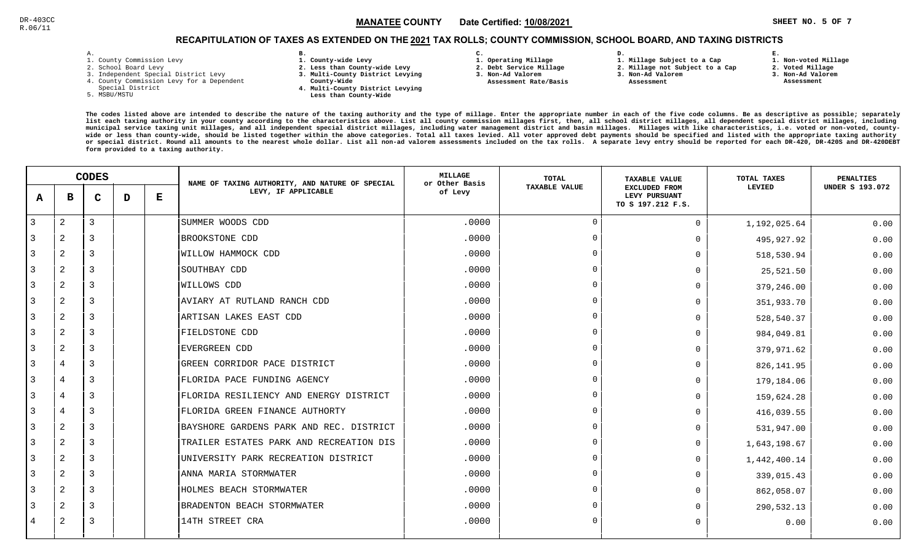### $\texttt{MANATEE COUNTY} \qquad$  Date Certified: <u>10/08/2021</u>  $\texttt{MANATEE} \texttt{COUNTY} \qquad$  Date Certified: <u>10/08/2021</u> MANATEE CO

# RECAPITULATION OF TAXES AS EXTENDED ON THE <u>2021</u> TAX ROLLS; COUNTY COMMISSION, SCHOOL BOARD, AND TAXING DISTRICTS

| – | ٠ |  |  |
|---|---|--|--|

- 1. County Commission Levy
- 2. School Board Levy
- 3. Independent Special District Levy
- 4. County Commission Levy for a Dependent
- Special District
- 5. MSBU/MSTU
- **B. 1. County-wide Levy**
- **2. Less than County-wide Levy**
- **3. Multi-County District Levying**
- **County-Wide** 
	- **4. Multi-County District Levying Less than County-Wide**
- **C.**
- **1. Operating Millage**
- **2. Debt Service Millage**
- **3. Non-Ad Valorem Assessment Rate/Basis**
- **2. Millage not Subject to a Cap3. Non-Ad Valorem**

**D.** 

 **Assessment** 

**1. Millage Subject to a Cap**

- 
- **2. Voted Millage3. Non-Ad Valorem**

**E.**

 **Assessment**

**1. Non-voted Millage**

|                | <b>CODES</b>   |                |   | NAME OF TAXING AUTHORITY, AND NATURE OF SPECIAL | <b>MILLAGE</b><br>or Other Basis        | <b>TOTAL</b> | <b>TAXABLE VALUE</b> | TOTAL TAXES                                                | <b>PENALTIES</b> |                        |
|----------------|----------------|----------------|---|-------------------------------------------------|-----------------------------------------|--------------|----------------------|------------------------------------------------------------|------------------|------------------------|
| A              | в              | $\mathbf C$    | D | Е                                               | LEVY, IF APPLICABLE                     | of Levy      | <b>TAXABLE VALUE</b> | <b>EXCLUDED FROM</b><br>LEVY PURSUANT<br>TO S 197.212 F.S. | <b>LEVIED</b>    | <b>UNDER S 193.072</b> |
| $\overline{3}$ | $\overline{2}$ | 3              |   |                                                 | SUMMER WOODS CDD                        | .0000        | $\Omega$             | $\Omega$                                                   | 1,192,025.64     | 0.00                   |
| 3              | $\overline{2}$ | 3              |   |                                                 | BROOKSTONE CDD                          | .0000        | $\Omega$             | $\Omega$                                                   | 495,927.92       | 0.00                   |
| 3              | $\overline{2}$ | 3              |   |                                                 | WILLOW HAMMOCK CDD                      | .0000        |                      | $\Omega$                                                   | 518,530.94       | 0.00                   |
| 3              | $\overline{a}$ | 3              |   |                                                 | SOUTHBAY CDD                            | .0000        | $\Omega$             | $\Omega$                                                   | 25,521.50        | 0.00                   |
| 3              | 2              | 3              |   |                                                 | WILLOWS CDD                             | .0000        |                      | 0                                                          | 379,246.00       | 0.00                   |
| 3              | $\overline{a}$ | $\overline{3}$ |   |                                                 | AVIARY AT RUTLAND RANCH CDD             | .0000        | $\Omega$             | $\Omega$                                                   | 351,933.70       | 0.00                   |
| 3              | $\overline{2}$ | 3              |   |                                                 | ARTISAN LAKES EAST CDD                  | .0000        | $\Omega$             | 0                                                          | 528,540.37       | 0.00                   |
| 3              | $\overline{a}$ | 3              |   |                                                 | FIELDSTONE CDD                          | .0000        |                      | $\Omega$                                                   | 984,049.81       | 0.00                   |
| 3              | $\overline{2}$ | $\overline{3}$ |   |                                                 | EVERGREEN CDD                           | .0000        |                      | $\Omega$                                                   | 379,971.62       | 0.00                   |
| 3              | $\overline{4}$ | 3              |   |                                                 | GREEN CORRIDOR PACE DISTRICT            | .0000        |                      | $\Omega$                                                   | 826, 141.95      | 0.00                   |
| 3              | 4              | 3              |   |                                                 | FLORIDA PACE FUNDING AGENCY             | .0000        |                      | $\Omega$                                                   | 179,184.06       | 0.00                   |
| 3              | $\overline{4}$ | 3              |   |                                                 | FLORIDA RESILIENCY AND ENERGY DISTRICT  | .0000        | $\cap$               | 0                                                          | 159,624.28       | 0.00                   |
| 3              | $\overline{4}$ | $\overline{3}$ |   |                                                 | FLORIDA GREEN FINANCE AUTHORTY          | .0000        |                      | 0                                                          | 416,039.55       | 0.00                   |
| 3              | $\overline{a}$ | 3              |   |                                                 | BAYSHORE GARDENS PARK AND REC. DISTRICT | .0000        | $\cap$               | <sup>0</sup>                                               | 531,947.00       | 0.00                   |
| 3              | 2              | 3              |   |                                                 | TRAILER ESTATES PARK AND RECREATION DIS | .0000        |                      | $\Omega$                                                   | 1,643,198.67     | 0.00                   |
| 3              | $\overline{a}$ | 3              |   |                                                 | UNIVERSITY PARK RECREATION DISTRICT     | .0000        |                      | $\Omega$                                                   | 1,442,400.14     | 0.00                   |
| 3              | $\overline{2}$ | 3              |   |                                                 | ANNA MARIA STORMWATER                   | .0000        |                      | $\Omega$                                                   | 339,015.43       | 0.00                   |
| 3              | 2              | 3              |   |                                                 | HOLMES BEACH STORMWATER                 | .0000        |                      | $\Omega$                                                   | 862,058.07       | 0.00                   |
| 3              | $\overline{2}$ | $\overline{3}$ |   |                                                 | BRADENTON BEACH STORMWATER              | .0000        |                      | 0                                                          | 290,532.13       | 0.00                   |
| 4              | $\overline{2}$ | 3              |   |                                                 | 14TH STREET CRA                         | .0000        |                      | $\Omega$                                                   | 0.00             | 0.00                   |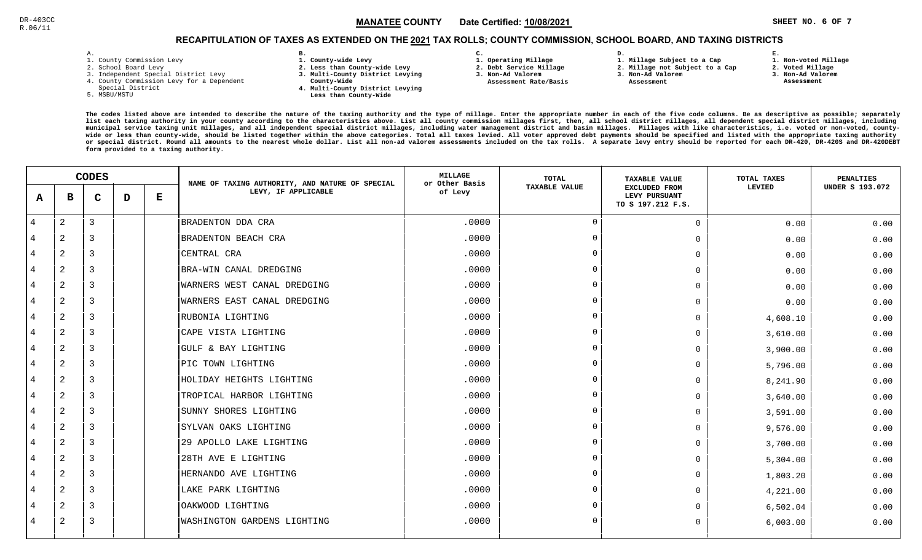### $\in$   $\blacksquare$   $\blacksquare$   $\blacksquare$   $\blacksquare$   $\blacksquare$   $\blacksquare$   $\blacksquare$   $\blacksquare$   $\blacksquare$   $\blacksquare$   $\blacksquare$   $\blacksquare$   $\blacksquare$   $\blacksquare$   $\blacksquare$   $\blacksquare$   $\blacksquare$   $\blacksquare$   $\blacksquare$   $\blacksquare$   $\blacksquare$   $\blacksquare$   $\blacksquare$   $\blacksquare$   $\blacksquare$   $\blacksquare$   $\blacksquare$   $\blacksquare$   $\blacksquare$   $\blacksquare$   $\blacksquare$ MANATEE CO

# RECAPITULATION OF TAXES AS EXTENDED ON THE <u>2021</u> TAX ROLLS; COUNTY COMMISSION, SCHOOL BOARD, AND TAXING DISTRICTS

| - | ٠ |  |  |
|---|---|--|--|

- 1. County Commission Levy
- 2. School Board Levy
- 3. Independent Special District Levy
- 4. County Commission Levy for a Dependent
- Special District
- 5. MSBU/MSTU
- **B. 1. County-wide Levy**
- **2. Less than County-wide Levy**
- **3. Multi-County District Levying**
- **County-Wide** 
	- **4. Multi-County District Levying Less than County-Wide**
- **C.**
- **1. Operating Millage**
- **2. Debt Service Millage 3. Non-Ad Valorem**
- **Assessment Rate/Basis**
- **2. Millage not Subject to a Cap**

**D.** 

**3. Non-Ad Valorem**

**1. Millage Subject to a Cap**

 **Assessment** 

 **1. Non-voted Millage2. Voted Millage**

**E.**

- **3. Non-Ad Valorem**
- **Assessment**

|   | <b>CODES</b>   |             |   | NAME OF TAXING AUTHORITY, AND NATURE OF SPECIAL | <b>MILLAGE</b><br>or Other Basis | <b>TOTAL</b> | <b>TAXABLE VALUE</b> | TOTAL TAXES                                                | <b>PENALTIES</b> |                        |
|---|----------------|-------------|---|-------------------------------------------------|----------------------------------|--------------|----------------------|------------------------------------------------------------|------------------|------------------------|
| A | в              | $\mathbf C$ | D | Е                                               | LEVY, IF APPLICABLE              | of Levy      | <b>TAXABLE VALUE</b> | <b>EXCLUDED FROM</b><br>LEVY PURSUANT<br>TO S 197.212 F.S. | LEVIED           | <b>UNDER S 193.072</b> |
| 4 | 2              | 3           |   |                                                 | BRADENTON DDA CRA                | .0000        | $\Omega$             | $\mathbf 0$                                                | 0.00             | 0.00                   |
| 4 | 2              | 3           |   |                                                 | BRADENTON BEACH CRA              | .0000        | $\Omega$             | $\mathbf 0$                                                | 0.00             | 0.00                   |
| 4 | 2              | 3           |   |                                                 | CENTRAL CRA                      | .0000        | $\Omega$             | $\mathbf 0$                                                | 0.00             | 0.00                   |
| 4 | $\overline{c}$ | 3           |   |                                                 | BRA-WIN CANAL DREDGING           | .0000        | $\Omega$             | $\mathbf 0$                                                | 0.00             | 0.00                   |
| 4 | 2              | 3           |   |                                                 | WARNERS WEST CANAL DREDGING      | .0000        | $\Omega$             | $\mathbf 0$                                                | 0.00             | 0.00                   |
| 4 | 2              | 3           |   |                                                 | WARNERS EAST CANAL DREDGING      | .0000        | $\Omega$             | $\Omega$                                                   | 0.00             | 0.00                   |
| 4 | 2              | 3           |   |                                                 | RUBONIA LIGHTING                 | .0000        | $\Omega$             | 0                                                          | 4,608.10         | 0.00                   |
| 4 | 2              | 3           |   |                                                 | CAPE VISTA LIGHTING              | .0000        | $\Omega$             | $\mathbf 0$                                                | 3,610.00         | 0.00                   |
| 4 | 2              | 3           |   |                                                 | GULF & BAY LIGHTING              | .0000        | $\Omega$             | $\mathbf 0$                                                | 3,900.00         | 0.00                   |
| 4 | $\overline{c}$ | 3           |   |                                                 | PIC TOWN LIGHTING                | .0000        | $\Omega$             | $\mathbf 0$                                                | 5,796.00         | 0.00                   |
| 4 | 2              | 3           |   |                                                 | HOLIDAY HEIGHTS LIGHTING         | .0000        | $\Omega$             | $\mathbf 0$                                                | 8,241.90         | 0.00                   |
| 4 | $\overline{c}$ | 3           |   |                                                 | TROPICAL HARBOR LIGHTING         | .0000        | $\Omega$             | $\mathbf 0$                                                | 3,640.00         | 0.00                   |
| 4 | 2              | 3           |   |                                                 | SUNNY SHORES LIGHTING            | .0000        | $\Omega$             | $\mathbf 0$                                                | 3,591.00         | 0.00                   |
| 4 | $\overline{c}$ | 3           |   |                                                 | SYLVAN OAKS LIGHTING             | .0000        | $\Omega$             | $\mathbf 0$                                                | 9,576.00         | 0.00                   |
| 4 | 2              | 3           |   |                                                 | 29 APOLLO LAKE LIGHTING          | .0000        | $\Omega$             | $\mathbf 0$                                                | 3,700.00         | 0.00                   |
| 4 | $\overline{c}$ | 3           |   |                                                 | 28TH AVE E LIGHTING              | .0000        | $\Omega$             | $\mathbf 0$                                                | 5,304.00         | 0.00                   |
| 4 | $\overline{c}$ | 3           |   |                                                 | HERNANDO AVE LIGHTING            | .0000        | $\Omega$             | $\mathbf 0$                                                | 1,803.20         | 0.00                   |
| 4 | 2              | 3           |   |                                                 | LAKE PARK LIGHTING               | .0000        | $\Omega$             | $\mathbf 0$                                                | 4,221.00         | 0.00                   |
| 4 | $\overline{c}$ | 3           |   |                                                 | OAKWOOD LIGHTING                 | .0000        | $\Omega$             | $\Omega$                                                   | 6,502.04         | 0.00                   |
| 4 | 2              | 3           |   |                                                 | WASHINGTON GARDENS LIGHTING      | .0000        | $\Omega$             | 0                                                          | 6,003.00         | 0.00                   |